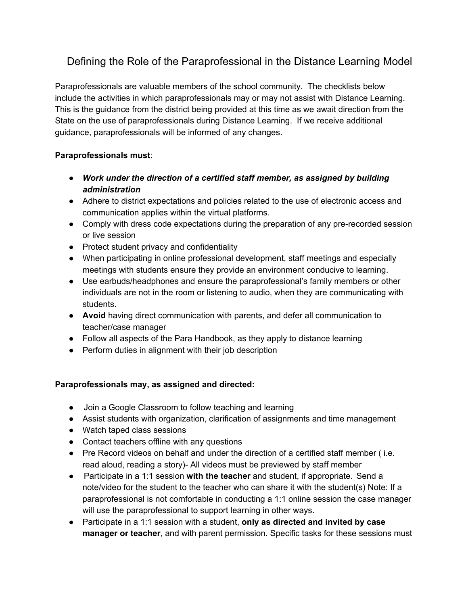## Defining the Role of the Paraprofessional in the Distance Learning Model

Paraprofessionals are valuable members of the school community. The checklists below include the activities in which paraprofessionals may or may not assist with Distance Learning. This is the guidance from the district being provided at this time as we await direction from the State on the use of paraprofessionals during Distance Learning. If we receive additional guidance, paraprofessionals will be informed of any changes.

## **Paraprofessionals must**:

- *● Work under the direction of a certified staff member, as assigned by building administration*
- Adhere to district expectations and policies related to the use of electronic access and communication applies within the virtual platforms.
- Comply with dress code expectations during the preparation of any pre-recorded session or live session
- Protect student privacy and confidentiality
- When participating in online professional development, staff meetings and especially meetings with students ensure they provide an environment conducive to learning.
- Use earbuds/headphones and ensure the paraprofessional's family members or other individuals are not in the room or listening to audio, when they are communicating with students.
- **Avoid** having direct communication with parents, and defer all communication to teacher/case manager
- Follow all aspects of the Para Handbook, as they apply to distance learning
- Perform duties in alignment with their job description

## **Paraprofessionals may, as assigned and directed:**

- Join a Google Classroom to follow teaching and learning
- Assist students with organization, clarification of assignments and time management
- Watch taped class sessions
- Contact teachers offline with any questions
- Pre Record videos on behalf and under the direction of a certified staff member (i.e. read aloud, reading a story)- All videos must be previewed by staff member
- Participate in a 1:1 session **with the teacher** and student, if appropriate. Send a note/video for the student to the teacher who can share it with the student(s) Note: If a paraprofessional is not comfortable in conducting a 1:1 online session the case manager will use the paraprofessional to support learning in other ways.
- Participate in a 1:1 session with a student, **only as directed and invited by case manager or teacher**, and with parent permission. Specific tasks for these sessions must